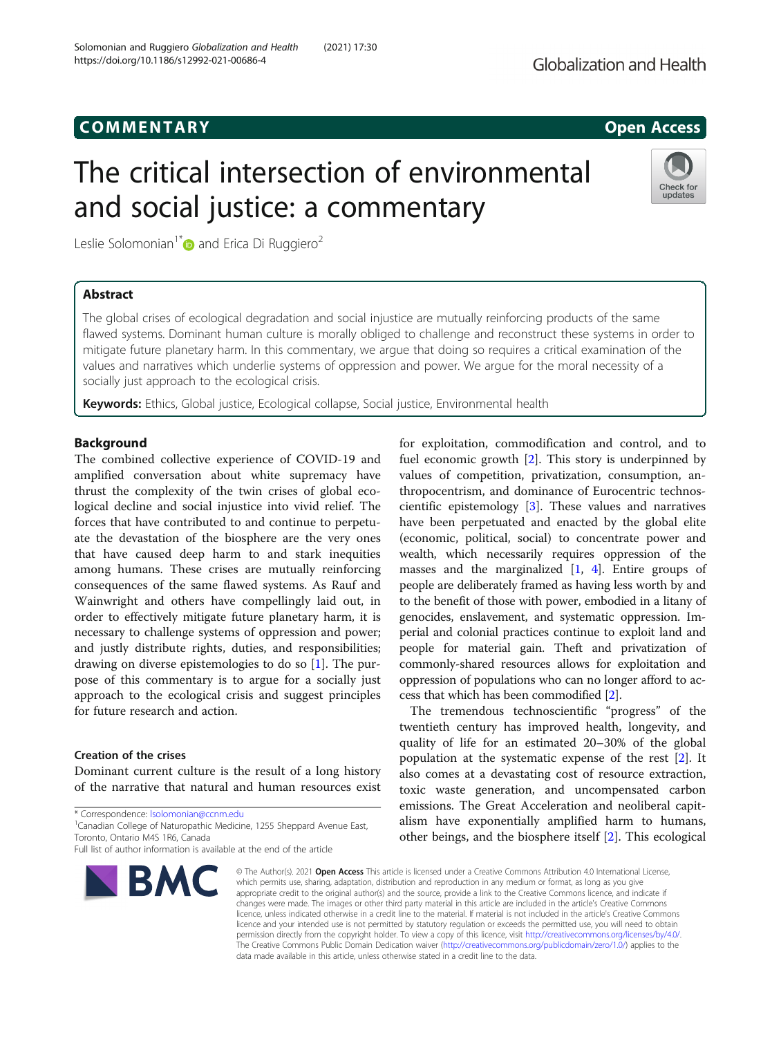# COMM EN TARY Open Access

# The critical intersection of environmental and social justice: a commentary

Leslie Solomonian<sup>1\*</sup> and Erica Di Ruggiero<sup>2</sup>

# Abstract

The global crises of ecological degradation and social injustice are mutually reinforcing products of the same flawed systems. Dominant human culture is morally obliged to challenge and reconstruct these systems in order to mitigate future planetary harm. In this commentary, we argue that doing so requires a critical examination of the values and narratives which underlie systems of oppression and power. We argue for the moral necessity of a socially just approach to the ecological crisis.

Keywords: Ethics, Global justice, Ecological collapse, Social justice, Environmental health

# Background

The combined collective experience of COVID-19 and amplified conversation about white supremacy have thrust the complexity of the twin crises of global ecological decline and social injustice into vivid relief. The forces that have contributed to and continue to perpetuate the devastation of the biosphere are the very ones that have caused deep harm to and stark inequities among humans. These crises are mutually reinforcing consequences of the same flawed systems. As Rauf and Wainwright and others have compellingly laid out, in order to effectively mitigate future planetary harm, it is necessary to challenge systems of oppression and power; and justly distribute rights, duties, and responsibilities; drawing on diverse epistemologies to do so [\[1](#page-3-0)]. The purpose of this commentary is to argue for a socially just approach to the ecological crisis and suggest principles for future research and action.

# Creation of the crises

Dominant current culture is the result of a long history of the narrative that natural and human resources exist

\* Correspondence: [lsolomonian@ccnm.edu](mailto:lsolomonian@ccnm.edu) <sup>1</sup>

Toronto, Ontario M4S 1R6, Canada

# for exploitation, commodification and control, and to fuel economic growth [[2\]](#page-3-0). This story is underpinned by values of competition, privatization, consumption, anthropocentrism, and dominance of Eurocentric technos-

cientific epistemology [[3\]](#page-3-0). These values and narratives have been perpetuated and enacted by the global elite (economic, political, social) to concentrate power and wealth, which necessarily requires oppression of the masses and the marginalized [\[1](#page-3-0), [4](#page-3-0)]. Entire groups of people are deliberately framed as having less worth by and to the benefit of those with power, embodied in a litany of genocides, enslavement, and systematic oppression. Imperial and colonial practices continue to exploit land and people for material gain. Theft and privatization of commonly-shared resources allows for exploitation and oppression of populations who can no longer afford to access that which has been commodified [\[2](#page-3-0)].

The tremendous technoscientific "progress" of the twentieth century has improved health, longevity, and quality of life for an estimated 20–30% of the global population at the systematic expense of the rest [[2](#page-3-0)]. It also comes at a devastating cost of resource extraction, toxic waste generation, and uncompensated carbon emissions. The Great Acceleration and neoliberal capitalism have exponentially amplified harm to humans, other beings, and the biosphere itself [[2\]](#page-3-0). This ecological

© The Author(s), 2021 **Open Access** This article is licensed under a Creative Commons Attribution 4.0 International License, which permits use, sharing, adaptation, distribution and reproduction in any medium or format, as long as you give appropriate credit to the original author(s) and the source, provide a link to the Creative Commons licence, and indicate if changes were made. The images or other third party material in this article are included in the article's Creative Commons licence, unless indicated otherwise in a credit line to the material. If material is not included in the article's Creative Commons licence and your intended use is not permitted by statutory regulation or exceeds the permitted use, you will need to obtain permission directly from the copyright holder. To view a copy of this licence, visit [http://creativecommons.org/licenses/by/4.0/.](http://creativecommons.org/licenses/by/4.0/) The Creative Commons Public Domain Dedication waiver [\(http://creativecommons.org/publicdomain/zero/1.0/](http://creativecommons.org/publicdomain/zero/1.0/)) applies to the data made available in this article, unless otherwise stated in a credit line to the data.

BMC

<sup>1</sup> Canadian College of Naturopathic Medicine, 1255 Sheppard Avenue East,





Full list of author information is available at the end of the article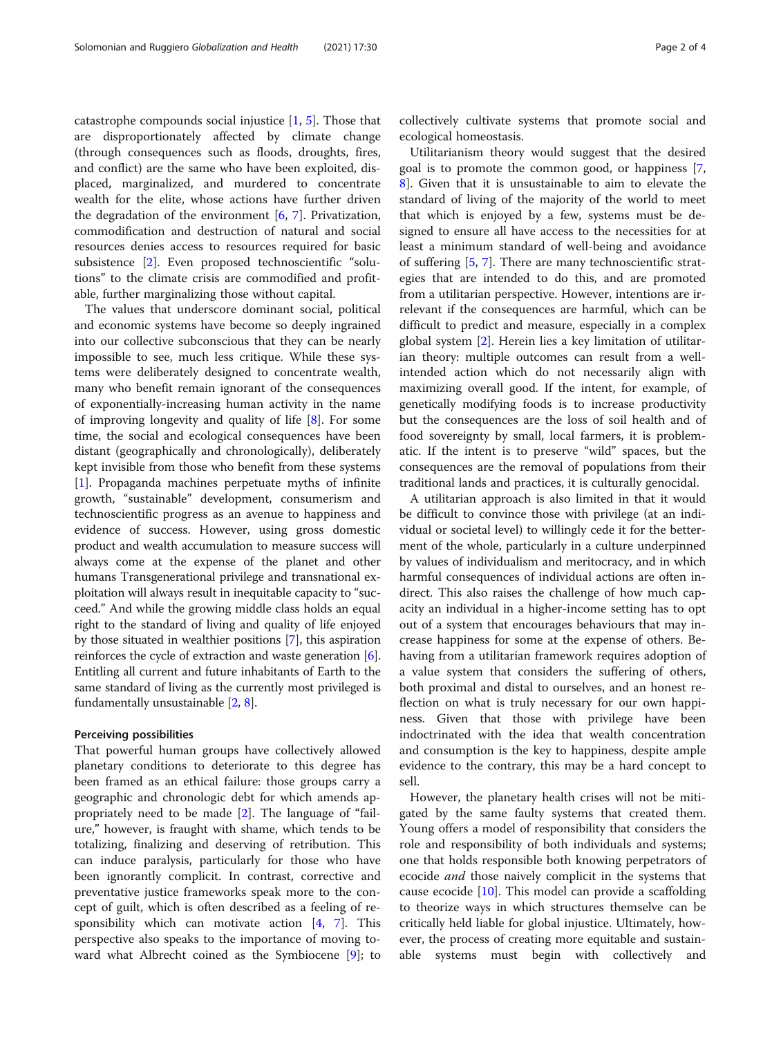catastrophe compounds social injustice  $[1, 5]$  $[1, 5]$  $[1, 5]$  $[1, 5]$ . Those that are disproportionately affected by climate change (through consequences such as floods, droughts, fires, and conflict) are the same who have been exploited, displaced, marginalized, and murdered to concentrate wealth for the elite, whose actions have further driven the degradation of the environment  $[6, 7]$  $[6, 7]$  $[6, 7]$  $[6, 7]$ . Privatization, commodification and destruction of natural and social resources denies access to resources required for basic subsistence [[2\]](#page-3-0). Even proposed technoscientific "solutions" to the climate crisis are commodified and profitable, further marginalizing those without capital.

The values that underscore dominant social, political and economic systems have become so deeply ingrained into our collective subconscious that they can be nearly impossible to see, much less critique. While these systems were deliberately designed to concentrate wealth, many who benefit remain ignorant of the consequences of exponentially-increasing human activity in the name of improving longevity and quality of life [\[8\]](#page-3-0). For some time, the social and ecological consequences have been distant (geographically and chronologically), deliberately kept invisible from those who benefit from these systems [[1\]](#page-3-0). Propaganda machines perpetuate myths of infinite growth, "sustainable" development, consumerism and technoscientific progress as an avenue to happiness and evidence of success. However, using gross domestic product and wealth accumulation to measure success will always come at the expense of the planet and other humans Transgenerational privilege and transnational exploitation will always result in inequitable capacity to "succeed." And while the growing middle class holds an equal right to the standard of living and quality of life enjoyed by those situated in wealthier positions [\[7](#page-3-0)], this aspiration reinforces the cycle of extraction and waste generation [[6](#page-3-0)]. Entitling all current and future inhabitants of Earth to the same standard of living as the currently most privileged is fundamentally unsustainable [[2](#page-3-0), [8\]](#page-3-0).

### Perceiving possibilities

That powerful human groups have collectively allowed planetary conditions to deteriorate to this degree has been framed as an ethical failure: those groups carry a geographic and chronologic debt for which amends appropriately need to be made [\[2](#page-3-0)]. The language of "failure," however, is fraught with shame, which tends to be totalizing, finalizing and deserving of retribution. This can induce paralysis, particularly for those who have been ignorantly complicit. In contrast, corrective and preventative justice frameworks speak more to the concept of guilt, which is often described as a feeling of responsibility which can motivate action  $[4, 7]$  $[4, 7]$  $[4, 7]$  $[4, 7]$ . This perspective also speaks to the importance of moving toward what Albrecht coined as the Symbiocene [\[9](#page-3-0)]; to collectively cultivate systems that promote social and ecological homeostasis.

Utilitarianism theory would suggest that the desired goal is to promote the common good, or happiness [\[7](#page-3-0), [8\]](#page-3-0). Given that it is unsustainable to aim to elevate the standard of living of the majority of the world to meet that which is enjoyed by a few, systems must be designed to ensure all have access to the necessities for at least a minimum standard of well-being and avoidance of suffering [[5,](#page-3-0) [7\]](#page-3-0). There are many technoscientific strategies that are intended to do this, and are promoted from a utilitarian perspective. However, intentions are irrelevant if the consequences are harmful, which can be difficult to predict and measure, especially in a complex global system [[2\]](#page-3-0). Herein lies a key limitation of utilitarian theory: multiple outcomes can result from a wellintended action which do not necessarily align with maximizing overall good. If the intent, for example, of genetically modifying foods is to increase productivity but the consequences are the loss of soil health and of food sovereignty by small, local farmers, it is problematic. If the intent is to preserve "wild" spaces, but the consequences are the removal of populations from their traditional lands and practices, it is culturally genocidal.

A utilitarian approach is also limited in that it would be difficult to convince those with privilege (at an individual or societal level) to willingly cede it for the betterment of the whole, particularly in a culture underpinned by values of individualism and meritocracy, and in which harmful consequences of individual actions are often indirect. This also raises the challenge of how much capacity an individual in a higher-income setting has to opt out of a system that encourages behaviours that may increase happiness for some at the expense of others. Behaving from a utilitarian framework requires adoption of a value system that considers the suffering of others, both proximal and distal to ourselves, and an honest reflection on what is truly necessary for our own happiness. Given that those with privilege have been indoctrinated with the idea that wealth concentration and consumption is the key to happiness, despite ample evidence to the contrary, this may be a hard concept to sell.

However, the planetary health crises will not be mitigated by the same faulty systems that created them. Young offers a model of responsibility that considers the role and responsibility of both individuals and systems; one that holds responsible both knowing perpetrators of ecocide *and* those naively complicit in the systems that cause ecocide [\[10\]](#page-3-0). This model can provide a scaffolding to theorize ways in which structures themselve can be critically held liable for global injustice. Ultimately, however, the process of creating more equitable and sustainable systems must begin with collectively and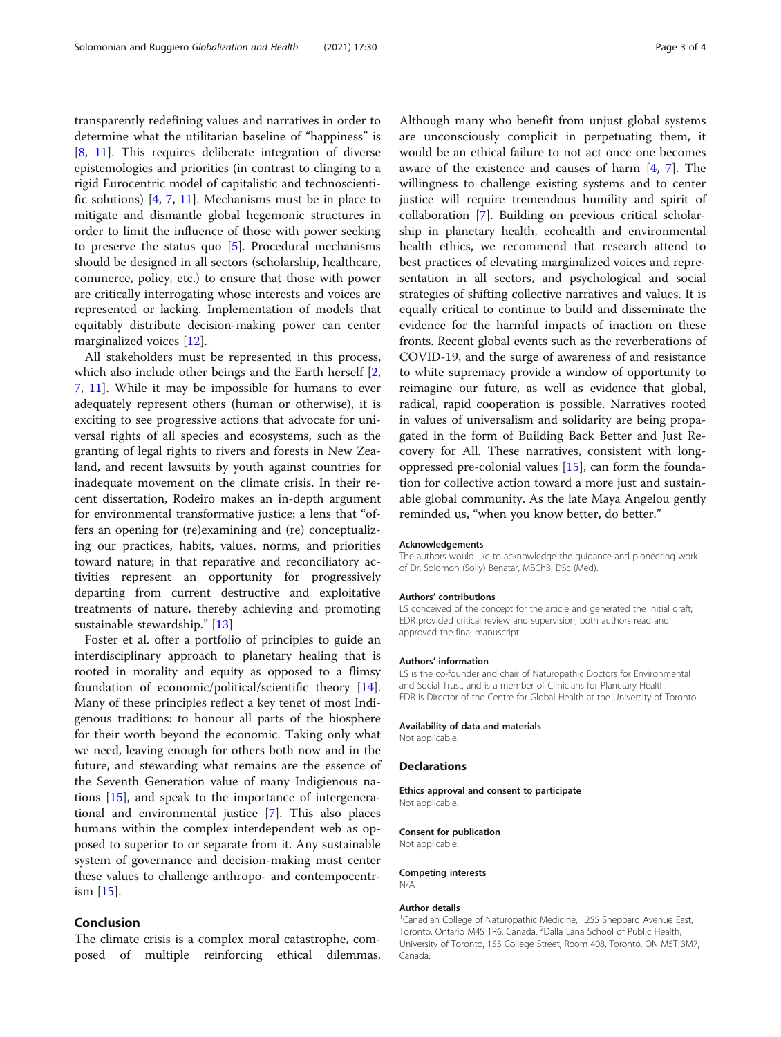transparently redefining values and narratives in order to determine what the utilitarian baseline of "happiness" is [[8,](#page-3-0) [11\]](#page-3-0). This requires deliberate integration of diverse epistemologies and priorities (in contrast to clinging to a rigid Eurocentric model of capitalistic and technoscientific solutions) [\[4](#page-3-0), [7,](#page-3-0) [11\]](#page-3-0). Mechanisms must be in place to mitigate and dismantle global hegemonic structures in order to limit the influence of those with power seeking to preserve the status quo  $[5]$  $[5]$ . Procedural mechanisms should be designed in all sectors (scholarship, healthcare, commerce, policy, etc.) to ensure that those with power are critically interrogating whose interests and voices are represented or lacking. Implementation of models that equitably distribute decision-making power can center marginalized voices [[12\]](#page-3-0).

All stakeholders must be represented in this process, which also include other beings and the Earth herself [\[2](#page-3-0), [7,](#page-3-0) [11\]](#page-3-0). While it may be impossible for humans to ever adequately represent others (human or otherwise), it is exciting to see progressive actions that advocate for universal rights of all species and ecosystems, such as the granting of legal rights to rivers and forests in New Zealand, and recent lawsuits by youth against countries for inadequate movement on the climate crisis. In their recent dissertation, Rodeiro makes an in-depth argument for environmental transformative justice; a lens that "offers an opening for (re)examining and (re) conceptualizing our practices, habits, values, norms, and priorities toward nature; in that reparative and reconciliatory activities represent an opportunity for progressively departing from current destructive and exploitative treatments of nature, thereby achieving and promoting sustainable stewardship." [[13\]](#page-3-0)

Foster et al. offer a portfolio of principles to guide an interdisciplinary approach to planetary healing that is rooted in morality and equity as opposed to a flimsy foundation of economic/political/scientific theory [\[14](#page-3-0)]. Many of these principles reflect a key tenet of most Indigenous traditions: to honour all parts of the biosphere for their worth beyond the economic. Taking only what we need, leaving enough for others both now and in the future, and stewarding what remains are the essence of the Seventh Generation value of many Indigienous nations [[15\]](#page-3-0), and speak to the importance of intergenerational and environmental justice [\[7](#page-3-0)]. This also places humans within the complex interdependent web as opposed to superior to or separate from it. Any sustainable system of governance and decision-making must center these values to challenge anthropo- and contempocentrism [\[15](#page-3-0)].

# Conclusion

The climate crisis is a complex moral catastrophe, composed of multiple reinforcing ethical dilemmas. Although many who benefit from unjust global systems are unconsciously complicit in perpetuating them, it would be an ethical failure to not act once one becomes aware of the existence and causes of harm  $[4, 7]$  $[4, 7]$  $[4, 7]$ . The willingness to challenge existing systems and to center justice will require tremendous humility and spirit of collaboration [[7\]](#page-3-0). Building on previous critical scholarship in planetary health, ecohealth and environmental health ethics, we recommend that research attend to best practices of elevating marginalized voices and representation in all sectors, and psychological and social strategies of shifting collective narratives and values. It is equally critical to continue to build and disseminate the evidence for the harmful impacts of inaction on these fronts. Recent global events such as the reverberations of COVID-19, and the surge of awareness of and resistance to white supremacy provide a window of opportunity to reimagine our future, as well as evidence that global, radical, rapid cooperation is possible. Narratives rooted in values of universalism and solidarity are being propagated in the form of Building Back Better and Just Recovery for All. These narratives, consistent with longoppressed pre-colonial values [\[15\]](#page-3-0), can form the foundation for collective action toward a more just and sustainable global community. As the late Maya Angelou gently reminded us, "when you know better, do better."

#### Acknowledgements

The authors would like to acknowledge the guidance and pioneering work of Dr. Solomon (Solly) Benatar, MBChB, DSc (Med).

#### Authors' contributions

LS conceived of the concept for the article and generated the initial draft; EDR provided critical review and supervision; both authors read and approved the final manuscript.

#### Authors' information

LS is the co-founder and chair of Naturopathic Doctors for Environmental and Social Trust, and is a member of Clinicians for Planetary Health. EDR is Director of the Centre for Global Health at the University of Toronto.

#### Availability of data and materials

Not applicable.

#### Declarations

Ethics approval and consent to participate Not applicable.

#### Consent for publication

Not applicable.

#### Competing interests N/A

#### Author details

<sup>1</sup> Canadian College of Naturopathic Medicine, 1255 Sheppard Avenue East, Toronto, Ontario M4S 1R6, Canada. <sup>2</sup>Dalla Lana School of Public Health University of Toronto, 155 College Street, Room 408, Toronto, ON M5T 3M7, Canada.